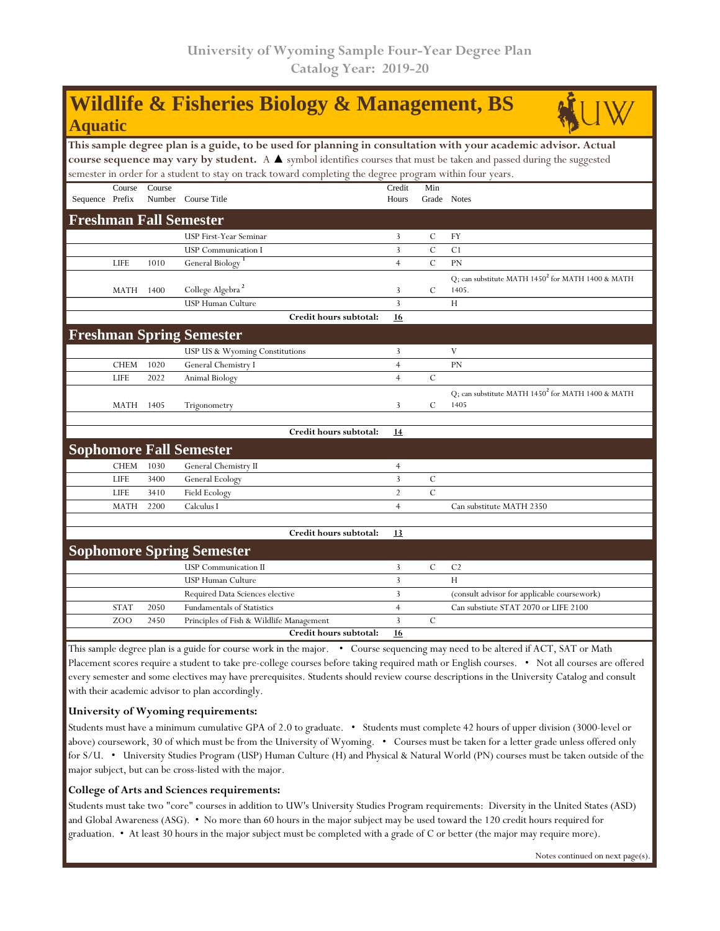## **Wildlife & Fisheries Biology & Management, BS Aquatic**

**This sample degree plan is a guide, to be used for planning in consultation with your academic advisor. Actual course sequence may vary by student.** A ▲ symbol identifies courses that must be taken and passed during the suggested semester in order for a student to stay on track toward completing the degree program within four years.

|                               |             |        | remester in order for a stadent to stay on track toward completing the degree program within four years. |                     |               |                                                        |  |  |  |  |
|-------------------------------|-------------|--------|----------------------------------------------------------------------------------------------------------|---------------------|---------------|--------------------------------------------------------|--|--|--|--|
| Sequence Prefix               | Course      | Course | Number Course Title                                                                                      | Credit<br>Hours     | Min           | Grade Notes                                            |  |  |  |  |
| <b>Freshman Fall Semester</b> |             |        |                                                                                                          |                     |               |                                                        |  |  |  |  |
|                               |             |        | USP First-Year Seminar                                                                                   | 3                   | $\mathcal{C}$ | <b>FY</b>                                              |  |  |  |  |
|                               |             |        | <b>USP Communication I</b>                                                                               | 3                   | $\mathbf C$   | C <sub>1</sub>                                         |  |  |  |  |
|                               | <b>LIFE</b> | 1010   | General Biology $^1$                                                                                     | $\overline{4}$      | $\mathbf C$   | PN                                                     |  |  |  |  |
|                               |             |        |                                                                                                          |                     |               | Q; can substitute MATH $1450^2$ for MATH $1400$ & MATH |  |  |  |  |
|                               | <b>MATH</b> | 1400   | College Algebra <sup>2</sup>                                                                             | 3<br>$\overline{3}$ | $\mathbf C$   | 1405.                                                  |  |  |  |  |
|                               |             |        | USP Human Culture<br>Credit hours subtotal:                                                              | 16                  |               | H                                                      |  |  |  |  |
|                               |             |        |                                                                                                          |                     |               |                                                        |  |  |  |  |
|                               |             |        | <b>Freshman Spring Semester</b>                                                                          |                     |               |                                                        |  |  |  |  |
|                               |             |        | USP US & Wyoming Constitutions                                                                           | 3                   |               | V                                                      |  |  |  |  |
|                               | <b>CHEM</b> | 1020   | General Chemistry I                                                                                      | $\overline{4}$      |               | PN                                                     |  |  |  |  |
|                               | <b>LIFE</b> | 2022   | Animal Biology                                                                                           | $\overline{4}$      | $\mathcal{C}$ |                                                        |  |  |  |  |
|                               |             |        |                                                                                                          |                     |               | Q; can substitute MATH $1450^2$ for MATH 1400 & MATH   |  |  |  |  |
|                               | MATH        | 1405   | Trigonometry                                                                                             | 3                   | $\mathbf C$   | 1405                                                   |  |  |  |  |
|                               |             |        |                                                                                                          |                     |               |                                                        |  |  |  |  |
|                               |             |        | Credit hours subtotal:                                                                                   | 14                  |               |                                                        |  |  |  |  |
|                               |             |        | <b>Sophomore Fall Semester</b>                                                                           |                     |               |                                                        |  |  |  |  |
|                               | <b>CHEM</b> | 1030   | General Chemistry II                                                                                     | $\overline{4}$      |               |                                                        |  |  |  |  |
|                               | <b>LIFE</b> | 3400   | General Ecology                                                                                          | 3                   | $\mathcal{C}$ |                                                        |  |  |  |  |
|                               | <b>LIFE</b> | 3410   | Field Ecology                                                                                            | $\sqrt{2}$          | $\mathcal{C}$ |                                                        |  |  |  |  |
|                               | <b>MATH</b> | 2200   | Calculus I                                                                                               | $\overline{4}$      |               | Can substitute MATH 2350                               |  |  |  |  |
|                               |             |        |                                                                                                          |                     |               |                                                        |  |  |  |  |
|                               |             |        | Credit hours subtotal:                                                                                   | 13                  |               |                                                        |  |  |  |  |
|                               |             |        | <b>Sophomore Spring Semester</b>                                                                         |                     |               |                                                        |  |  |  |  |
|                               |             |        | <b>USP</b> Communication II                                                                              | 3                   | $\mathbf C$   | C <sub>2</sub>                                         |  |  |  |  |
|                               |             |        | USP Human Culture                                                                                        | 3                   |               | H                                                      |  |  |  |  |
|                               |             |        |                                                                                                          |                     |               |                                                        |  |  |  |  |

Required Data Sciences elective 3 (consult advisor for applicable coursework) STAT 2050 Fundamentals of Statistics 4 Can substiute STAT 2070 or LIFE 2100 ZOO 2450 Principles of Fish & Wildlife Management 3 C **Credit hours subtotal: 16** This sample degree plan is a guide for course work in the major. • Course sequencing may need to be altered if ACT, SAT or Math

Placement scores require a student to take pre-college courses before taking required math or English courses. • Not all courses are offered every semester and some electives may have prerequisites. Students should review course descriptions in the University Catalog and consult with their academic advisor to plan accordingly.

## **University of Wyoming requirements:**

Students must have a minimum cumulative GPA of 2.0 to graduate. • Students must complete 42 hours of upper division (3000-level or above) coursework, 30 of which must be from the University of Wyoming. • Courses must be taken for a letter grade unless offered only for S/U. • University Studies Program (USP) Human Culture (H) and Physical & Natural World (PN) courses must be taken outside of the major subject, but can be cross-listed with the major.

## **College of Arts and Sciences requirements:**

Students must take two "core" courses in addition to UW's University Studies Program requirements: Diversity in the United States (ASD) and Global Awareness (ASG). • No more than 60 hours in the major subject may be used toward the 120 credit hours required for graduation. • At least 30 hours in the major subject must be completed with a grade of C or better (the major may require more).